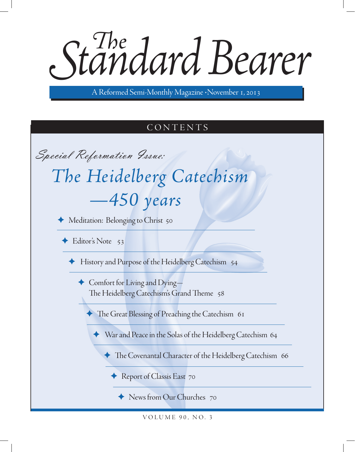Standard Bearer

A Reformed Semi-Monthly Magazine • November 1, 2013

# CONTENTS

Special Reformation Issue:  *The Heidelberg Catechism*

# *—450 years*

Meditation: Belonging to Christ 50

 $\blacklozenge$  Editor's Note 53

History and Purpose of the Heidelberg Catechism 54

 $\blacklozenge$  Comfort for Living and Dying-The Heidelberg Catechism's Grand Theme 58

◆ The Great Blessing of Preaching the Catechism 61

 $\blacklozenge$  War and Peace in the Solas of the Heidelberg Catechism 64

The Covenantal Character of the Heidelberg Catechism 66

Report of Classis East 70

◆ News from Our Churches 70

VOLUME 90, NO. 3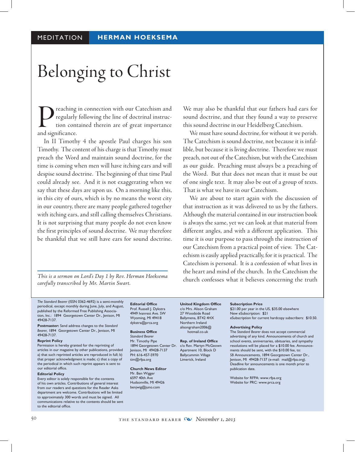# Belonging to Christ

Preaching in connection with our Catechism and<br>regularly following the line of doctrinal instruc-<br>tion contained therein are of great importance<br>and significance. regularly following the line of doctrinal instruction contained therein are of great importance and significance.

In II Timothy 4 the apostle Paul charges his son Timothy. The content of his charge is that Timothy must preach the Word and maintain sound doctrine, for the time is coming when men will have itching ears and will despise sound doctrine. The beginning of that time Paul could already see. And it is not exaggerating when we say that these days are upon us. On a morning like this, in this city of ours, which is by no means the worst city in our country, there are many people gathered together with itching ears, and still calling themselves Christians. It is not surprising that many people do not even know the first principles of sound doctrine. We may therefore be thankful that we still have ears for sound doctrine. We may also be thankful that our fathers had ears for sound doctrine, and that they found a way to preserve this sound doctrine in our Heidelberg Catechism.

We must have sound doctrine, for without it we perish. The Catechism is sound doctrine, not because it is infallible, but because it is living doctrine. Therefore we must preach, not out of the Catechism, but with the Catechism as our guide. Preaching must always be a preaching of the Word. But that does not mean that it must be out of one single text. It may also be out of a group of texts. That is what we have in our Catechism.

We are about to start again with the discussion of that instruction as it was delivered to us by the fathers. Although the material contained in our instruction book is always the same, yet we can look at that material from different angles, and with a different application. This time it is our purpose to pass through the instruction of our Catechism from a practical point of view. The Catechism is easily applied practically, for it is practical. The Catechism is personal. It is a confession of what lives in the heart and mind of the church. In the Catechism the church confesses what it believes concerning the truth

*This is a sermon on Lord's Day 1 by Rev. Herman Hoeksema carefully transcribed by Mr. Martin Swart.*

*The Standard Bearer* (ISSN 0362-4692) is a semi-monthly periodical, except monthly during June, July, and August, published by the Reformed Free Publishing Association, Inc.: 1894 Georgetown Center Dr., Jenison, MI 49428-7137.

**Postmaster:** Send address changes to the *Standard Bearer,* 1894 Georgetown Center Dr., Jenison, MI 49428-7137.

#### **Reprint Policy**

Permission is hereby granted for the reprinting of articles in our magazine by other publications, provided a) that such reprinted articles are reproduced in full; b) that proper acknowledgment is made; c) that a copy of the periodical in which such reprint appears is sent to our editorial office.

#### **Editorial Policy**

Every editor is solely responsible for the contents of his own articles. Contributions of general interest from our readers and questions for the Reader Asks department are welcome. Contributions will be limited to approximately 300 words and must be signed. All communications relative to the contents should be sent to the editorial office.

**Editorial Office** Prof. Russell J. Dykstra 4949 Ivanrest Ave. SW Wyoming, MI 49418 dykstra@prca.org

#### **Business Office**

*Standard Bearer* Mr. Timothy Pipe 1894 Georgetown Center Dr. c/o Rev. Martyn McGeown Jenison, MI 49428-7137 PH: 616-457-5970 tim@rfpa.org

#### **Church News Editor** Mr. Ben Wigger 6597 40th Ave

Hudsonville, MI 49426 benjwig@juno.com

#### **United Kingdom Office** c/o Mrs. Alison Graham 27 Woodside Road Ballymena, BT42 4HX Northern Ireland alisongraham2006@

#### **Rep. of Ireland Office** Apartment 10, Block D Ballycummin Village Limerick, Ireland

hotmail.co.uk

# **Subscription Price**

\$21.00 per year in the US, \$35.00 elsewhere New eSubscription: \$21 eSubscription for current hardcopy subscribers: \$10.50.

#### **Advertising Policy**

The *Standard Bearer* does not accept commercial advertising of any kind. Announcements of church and school events, anniversaries, obituaries, and sympathy resolutions will be placed for a \$10.00 fee. Announcements should be sent, with the \$10.00 fee, to: *SB* Announcements, 1894 Georgetown Center Dr., Jenison, MI 49428-7137 (e-mail: mail@rfpa.org). Deadline for announcements is one month prior to publication date.

Website for RFPA: www.rfpa.org Website for PRC: www.prca.org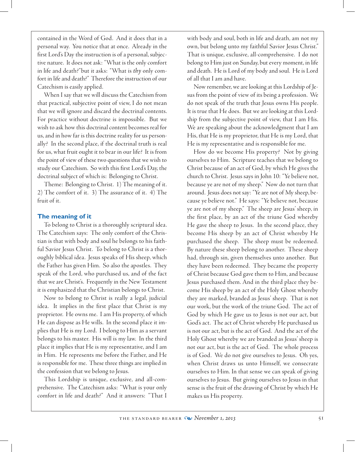contained in the Word of God. And it does that in a personal way. You notice that at once. Already in the first Lord's Day the instruction is of a personal, subjective nature. It does not ask: "What is the only comfort in life and death?"but it asks: "What is *thy* only comfort in life and death?" Therefore the instruction of our Catechism is easily applied.

When I say that we will discuss the Catechism from that practical, subjective point of view, I do not mean that we will ignore and discard the doctrinal contents. For practice without doctrine is impossible. But we wish to ask how this doctrinal content becomes real for us, and in how far is this doctrine reality for us personally? In the second place, if the doctrinal truth is real for us, what fruit ought it to bear in our life? It is from the point of view of these two questions that we wish to study our Catechism. So with this first Lord's Day, the doctrinal subject of which is: Belonging to Christ.

Theme: Belonging to Christ. 1) The meaning of it. 2) The comfort of it. 3) The assurance of it. 4) The fruit of it.

### **The meaning of it**

To belong to Christ is a thoroughly scriptural idea. The Catechism says: The only comfort of the Christian is that with body and soul he belongs to his faithful Savior Jesus Christ. To belong to Christ is a thoroughly biblical idea. Jesus speaks of His sheep, which the Father has given Him. So also the apostles. They speak of the Lord, who purchased us, and of the fact that we are Christ's. Frequently in the New Testament it is emphasized that the Christian belongs to Christ.

Now to belong to Christ is really a legal, judicial idea. It implies in the first place that Christ is my proprietor. He owns me. I am His property, of which He can dispose as He wills. In the second place it implies that He is my Lord. I belong to Him as a servant belongs to his master. His will is my law. In the third place it implies that He is my representative, and I am in Him. He represents me before the Father, and He is responsible for me. These three things are implied in the confession that we belong to Jesus.

This Lordship is unique, exclusive, and all-comprehensive. The Catechism asks: "What is your only comfort in life and death?" And it answers: "That I

with body and soul, both in life and death, am not my own, but belong unto my faithful Savior Jesus Christ." That is unique, exclusive, all-comprehensive. I do not belong to Him just on Sunday, but every moment, in life and death. He is Lord of my body and soul. He is Lord of all that I am and have.

Now remember, we are looking at this Lordship of Jesus from the point of view of its being a profession. We do not speak of the truth that Jesus owns His people. It is true that He does. But we are looking at this Lordship from the subjective point of view, that I am His. We are speaking about the acknowledgment that I am His, that He is my proprietor, that He is my Lord, that He is my representative and is responsible for me.

How do we become His property? Not by giving ourselves to Him. Scripture teaches that we belong to Christ because of an act of God, by which He gives the church to Christ. Jesus says in John 10: "Ye believe not, because ye are not of my sheep." Now do not turn that around. Jesus does not say: "Ye are not of My sheep, because ye believe not." He says: "Ye believe not, because ye are not of my sheep." The sheep are Jesus' sheep, in the first place, by an act of the triune God whereby He gave the sheep to Jesus. In the second place, they become His sheep by an act of Christ whereby He purchased the sheep. The sheep must be redeemed. By nature these sheep belong to another. These sheep had, through sin, given themselves unto another. But they have been redeemed. They became the property of Christ because God gave them to Him, and because Jesus purchased them. And in the third place they become His sheep by an act of the Holy Ghost whereby they are marked, branded as Jesus' sheep. That is not our work, but the work of the triune God. The act of God by which He gave us to Jesus is not our act, but God's act. The act of Christ whereby He purchased us is not our act, but is the act of God. And the act of the Holy Ghost whereby we are branded as Jesus' sheep is not our act, but is the act of God. The whole process is of God. We do not give ourselves to Jesus. Oh yes, when Christ draws us unto Himself, we consecrate ourselves to Him. In that sense we can speak of giving ourselves to Jesus. But giving ourselves to Jesus in that sense is the fruit of the drawing of Christ by which He makes us His property.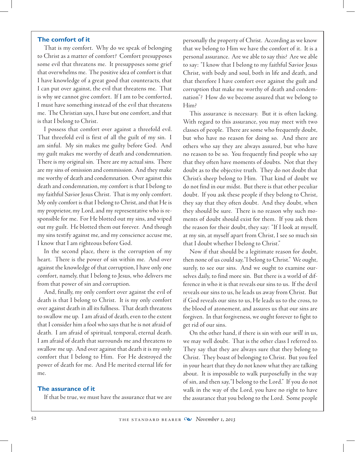#### **The comfort of it**

That is my comfort. Why do we speak of belonging to Christ as a matter of comfort? Comfort presupposes some evil that threatens me. It presupposes some grief that overwhelms me. The positive idea of comfort is that I have knowledge of a great good that counteracts, that I can put over against, the evil that threatens me. That is why *we* cannot give comfort. If I am to be comforted, I must have something instead of the evil that threatens me. The Christian says, I have but one comfort, and that is that I belong to Christ.

I possess that comfort over against a threefold evil. That threefold evil is first of all the guilt of my sin. I am sinful. My sin makes me guilty before God. And my guilt makes me worthy of death and condemnation. There is my original sin. There are my actual sins. There are my sins of omission and commission. And they make me worthy of death and condemnation. Over against this death and condemnation, my comfort is that I belong to my faithful Savior Jesus Christ. That is my only comfort. My only comfort is that I belong to Christ, and that He is my proprietor, my Lord, and my representative who is responsible for me. For He blotted out my sins, and wiped out my guilt. He blotted them out forever. And though my sins testify against me, and my conscience accuse me, I know that I am righteous before God.

In the second place, there is the corruption of my heart. There is the power of sin within me. And over against the knowledge of that corruption, I have only one comfort, namely, that I belong to Jesus, who delivers me from that power of sin and corruption.

And, finally, my only comfort over against the evil of death is that I belong to Christ. It is my only comfort over against death in all its fullness. That death threatens to swallow me up. I am afraid of death, even to the extent that I consider him a fool who says that he is not afraid of death. I am afraid of spiritual, temporal, eternal death. I am afraid of death that surrounds me and threatens to swallow me up. And over against that death it is my only comfort that I belong to Him. For He destroyed the power of death for me. And He merited eternal life for me.

### **The assurance of it**

If that be true, we must have the assurance that we are

personally the property of Christ. According as we know that we belong to Him we have the comfort of it. It is a personal assurance. Are we able to say this? Are we able to say: "I know that I belong to my faithful Savior Jesus Christ, with body and soul, both in life and death, and that therefore I have comfort over against the guilt and corruption that make me worthy of death and condemnation"? How do we become assured that we belong to Him?

This assurance is necessary. But it is often lacking. With regard to this assurance, you may meet with two classes of people. There are some who frequently doubt, but who have no reason for doing so. And there are others who say they are always assured, but who have no reason to be so. You frequently find people who say that they often have moments of doubts. Not that they doubt as to the objective truth. They do not doubt that Christ's sheep belong to Him. That kind of doubt we do not find in our midst. But there is that other peculiar doubt. If you ask these people if they belong to Christ, they say that they often doubt. And they doubt, when they should be sure. There is no reason why such moments of doubt should exist for them. If you ask them the reason for their doubt, they say: "If I look at myself, at my sin, at myself apart from Christ, I see so much sin that I doubt whether I belong to Christ."

Now if that should be a legitimate reason for doubt, then none of us could say, "I belong to Christ." We ought, surely, to see our sins. And we ought to examine ourselves daily, to find more sin. But there is a world of difference in who it is that reveals our sins to us. If the devil reveals our sins to us, he leads us away from Christ. But if God reveals our sins to us, He leads us to the cross, to the blood of atonement, and assures us that our sins are forgiven. In that forgiveness, we ought forever to fight to get rid of our sins.

 On the other hand, if there is sin with our *will* in us, we may well doubt. That is the other class I referred to. They say that they are always sure that they belong to Christ. They boast of belonging to Christ. But you feel in your heart that they do not know what they are talking about. It is impossible to walk purposefully in the way of sin, and then say, "I belong to the Lord." If you do not walk in the way of the Lord, you have no right to have the assurance that you belong to the Lord. Some people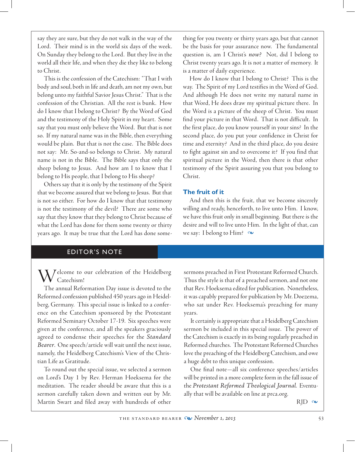say they are sure, but they do not walk in the way of the Lord. Their mind is in the world six days of the week. On Sunday they belong to the Lord. But they live in the world all their life, and when they die they like to belong to Christ.

This is the confession of the Catechism: "That I with body and soul, both in life and death, am not my own, but belong unto my faithful Savior Jesus Christ." That is the confession of the Christian. All the rest is bunk. How do I know that I belong to Christ? By the Word of God and the testimony of the Holy Spirit in my heart. Some say that you must only believe the Word. But that is not so. If my natural name was in the Bible, then everything would be plain. But that is not the case. The Bible does not say: Mr. So-and-so belongs to Christ. My natural name is not in the Bible. The Bible says that only the sheep belong to Jesus. And how am I to know that I belong to His people, that I belong to His sheep?

 Others say that it is only by the testimony of the Spirit that we become assured that we belong to Jesus. But that is not so either. For how do I know that that testimony is not the testimony of the devil? There are some who say that they know that they belong to Christ because of what the Lord has done for them some twenty or thirty years ago. It may be true that the Lord has done some-

thing for you twenty or thirty years ago, but that cannot be the basis for your assurance now. The fundamental question is, am I Christ's *now?* Not, did I belong to Christ twenty years ago. It is not a matter of memory. It is a matter of daily experience.

How do I know that I belong to Christ? This is the way. The Spirit of my Lord testifies in the Word of God. And although He does not write my natural name in that Word, He does draw my spiritual picture there. In the Word is a picture of the sheep of Christ. You must find your picture in that Word. That is not difficult. In the first place, do you know yourself in your sins? In the second place, do you put your confidence in Christ for time and eternity? And in the third place, do you desire to fight against sin and to overcome it? If you find that spiritual picture in the Word, then there is that other testimony of the Spirit assuring you that you belong to Christ.

#### **The fruit of it**

And then this is the fruit, that we become sincerely willing and ready, henceforth, to live unto Him. I know, we have this fruit only in small beginning. But there is the desire and will to live unto Him. In the light of that, can we say: I belong to Him?  $\infty$ 

### EDITOR'S NOTE

 $\bigwedge\hspace{-0.15cm}\bigwedge\hspace{-0.15cm}\bigwedge\hspace{-0.15cm}\bigwedge\hspace{-0.15cm}\bigwedge\hspace{-0.15cm}\bigwedge\hspace{-0.15cm}\bigwedge\hspace{-0.15cm}\bigwedge\hspace{-0.15cm}\bigwedge\hspace{-0.15cm}\bigwedge\hspace{-0.15cm}\bigwedge\hspace{-0.15cm}\bigwedge\hspace{-0.15cm}\bigwedge\hspace{-0.15cm}\bigwedge\hspace{-0.15cm}\bigwedge\hspace{-0.15cm}\bigwedge\hspace{-0.15cm}\bigwedge\hspace{-0.15$ Catechism!

The annual Reformation Day issue is devoted to the Reformed confession published 450 years ago in Heidelberg, Germany. This special issue is linked to a conference on the Catechism sponsored by the Protestant Reformed Seminary October 17-19. Six speeches were given at the conference, and all the speakers graciously agreed to condense their speeches for the *Standard Bearer*. One speech/article will wait until the next issue, namely, the Heidelberg Catechism's View of the Christian Life as Gratitude.

To round out the special issue, we selected a sermon on Lord's Day 1 by Rev. Herman Hoeksema for the meditation. The reader should be aware that this is a sermon carefully taken down and written out by Mr. Martin Swart and filed away with hundreds of other

sermons preached in First Protestant Reformed Church. Thus the style is that of a preached sermon, and not one that Rev. Hoeksema edited for publication. Nonetheless, it was capably prepared for publication by Mr. Doezema, who sat under Rev. Hoeksema's preaching for many years.

It certainly is appropriate that a Heidelberg Catechism sermon be included in this special issue. The power of the Catechism is exactly in its being regularly preached in Reformed churches. The Protestant Reformed Churches love the preaching of the Heidelberg Catechism, and owe a huge debt to this unique confession.

 One final note—all six conference speeches/articles will be printed in a more complete form in the fall issue of the *Protestant Reformed Theological Journal*. Eventually that will be available on line at prca.org.

 $R$ JD  $\infty$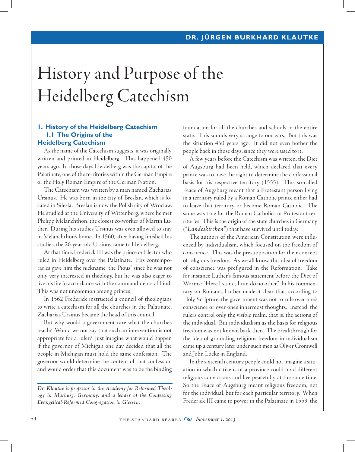# History and Purpose of the Heidelberg Catechism

# **1. History of the Heidelberg Catechism 1.1 The Origins of the Heidelberg Catechism**

As the name of the Catechism suggests, it was originally written and printed in Heidelberg. This happened 450 years ago. In those days Heidelberg was the capital of the Palatinate, one of the territories within the German Empire or the Holy Roman Empire of the German Nation.

The Catechism was written by a man named Zacharias Ursinus. He was born in the city of Breslan, which is located in Silesia. Breslan is now the Polish city of Wroclaw. He studied at the University of Wittenberg, where he met Philipp Melanchthon, the closest co-worker of Martin Luther. During his studies Ursinus was even allowed to stay in Melanchthon's home. In 1560, after having finished his studies, the 26-year-old Ursinus came to Heidelberg.

At that time, Frederick III was the prince or Elector who ruled in Heidelberg over the Palatinate. His contemporaries gave him the nickname "the Pious" since he was not only very interested in theology, but he was also eager to live his life in accordance with the commandments of God. This was not uncommon among princes.

In 1562 Frederick instructed a council of theologians to write a catechism for all the churches in the Palatinate. Zacharias Ursinus became the head of this council.

But why would a government care what the churches teach? Would we not say that such an intervention is not appropriate for a ruler? Just imagine what would happen if the governor of Michigan one day decided that all the people in Michigan must hold the same confession. The governor would determine the content of that confession and would order that this document was to be the binding

*Dr. Klautke is professor in the Academy for Reformed Theology in Marburg, Germany, and a leader of the Confessing Evangelical-Reformed Congregation in Giessen.*

foundation for all the churches and schools in the entire state. This sounds very strange to our ears. But this was the situation 450 years ago. It did not even bother the people back in those days, since they were used to it.

A few years before the Catechism was written, the Diet of Augsburg had been held, which declared that every prince was to have the right to determine the confessional basis for his respective territory (1555). This so-called Peace of Augsburg meant that a Protestant person living in a territory ruled by a Roman Catholic prince either had to leave that territory or become Roman Catholic. The same was true for the Roman Catholics in Protestant territories. This is the origin of the state churches in Germany ("*Landeskirchen"*) that have survived until today.

The authors of the American Constitution were influenced by individualism, which focused on the freedom of conscience. This was the presupposition for their concept of religious freedom. As we all know, this idea of freedom of conscience was prefigured in the Reformation. Take for instance Luther's famous statement before the Diet of Worms: "Here I stand, I can do no other." In his commentary on Romans, Luther made it clear that, according to Holy Scripture, the government was not to rule over one's conscience or over one's innermost thoughts. Instead, the rulers control only the visible realm, that is, the actions of the individual. But individualism as the basis for religious freedom was not known back then. The breakthrough for the idea of grounding religious freedom in individualism came up a century later under such men as Oliver Cromwell and John Locke in England.

In the sixteenth century people could not imagine a situation in which citizens of a province could hold different religious convictions and live peacefully at the same time. So the Peace of Augsburg meant religious freedom, not for the individual, but for each particular territory. When Frederick III came to power in the Palatinate in 1559, the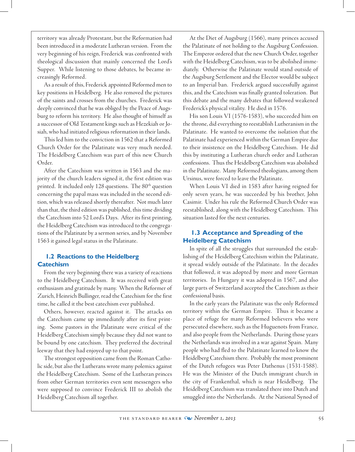territory was already Protestant, but the Reformation had been introduced in a moderate Lutheran version. From the very beginning of his reign, Frederick was confronted with theological discussion that mainly concerned the Lord's Supper. While listening to those debates, he became increasingly Reformed.

As a result of this, Frederick appointed Reformed men to key positions in Heidelberg. He also removed the pictures of the saints and crosses from the churches. Frederick was deeply convinced that he was obliged by the Peace of Augsburg to reform his territory. He also thought of himself as a successor of Old Testament kings such as Hezekiah or Josiah, who had initiated religious reformation in their lands.

This led him to the conviction in 1562 that a Reformed Church Order for the Palatinate was very much needed. The Heidelberg Catechism was part of this new Church Order.

After the Catechism was written in 1563 and the majority of the church leaders signed it, the first edition was printed. It included only 128 questions. The  $80<sup>th</sup>$  question concerning the papal mass was included in the second edition, which was released shortly thereafter. Not much later than that, the third edition was published, this time dividing the Catechism into 52 Lord's Days. After its first printing, the Heidelberg Catechism was introduced to the congregations of the Palatinate by a sermon series, and by November 1563 it gained legal status in the Palatinate.

### **1.2 Reactions to the Heidelberg Catechism**

From the very beginning there was a variety of reactions to the Heidelberg Catechism. It was received with great enthusiasm and gratitude by many. When the Reformer of Zurich, Heinrich Bullinger, read the Catechism for the first time, he called it the best catechism ever published.

 Others, however, reacted against it. The attacks on the Catechism came up immediately after its first printing. Some pastors in the Palatinate were critical of the Heidelberg Catechism simply because they did not want to be bound by one catechism. They preferred the doctrinal leeway that they had enjoyed up to that point.

The strongest opposition came from the Roman Catholic side, but also the Lutherans wrote many polemics against the Heidelberg Catechism. Some of the Lutheran princes from other German territories even sent messengers who were supposed to convince Frederick III to abolish the Heidelberg Catechism all together.

At the Diet of Augsburg (1566), many princes accused the Palatinate of not holding to the Augsburg Confession. The Emperor ordered that the new Church Order, together with the Heidelberg Catechism, was to be abolished immediately. Otherwise the Palatinate would stand outside of the Augsburg Settlement and the Elector would be subject to an Imperial ban. Frederick argued successfully against this, and the Catechism was finally granted toleration. But this debate and the many debates that followed weakened Frederick's physical vitality. He died in 1576.

His son Louis VI (1576-1583), who succeeded him on the throne, did everything to reestablish Lutheranism in the Palatinate. He wanted to overcome the isolation that the Palatinate had experienced within the German Empire due to their insistence on the Heidelberg Catechism. He did this by instituting a Lutheran church order and Lutheran confessions. Thus the Heidelberg Catechism was abolished in the Palatinate. Many Reformed theologians, among them Ursinus, were forced to leave the Palatinate.

When Louis VI died in 1583 after having reigned for only seven years, he was succeeded by his brother, John Casimir. Under his rule the Reformed Church Order was reestablished, along with the Heidelberg Catechism. This situation lasted for the next centuries.

# **1.3 Acceptance and Spreading of the Heidelberg Catechism**

In spite of all the struggles that surrounded the establishing of the Heidelberg Catechism within the Palatinate, it spread widely outside of the Palatinate. In the decades that followed, it was adopted by more and more German territories. In Hungary it was adopted in 1567, and also large parts of Switzerland accepted the Catechism as their confessional basis.

In the early years the Palatinate was the only Reformed territory within the German Empire. Thus it became a place of refuge for many Reformed believers who were persecuted elsewhere, such as the Huguenots from France, and also people from the Netherlands. During those years the Netherlands was involved in a war against Spain. Many people who had fled to the Palatinate learned to know the Heidelberg Catechism there. Probably the most prominent of the Dutch refugees was Peter Dathenus (1531-1588). He was the Minister of the Dutch immigrant church in the city of Frankenthal, which is near Heidelberg. The Heidelberg Catechism was translated there into Dutch and smuggled into the Netherlands. At the National Synod of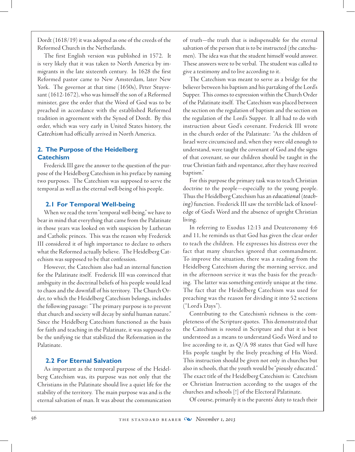Dordt (1618/19) it was adopted as one of the creeds of the Reformed Church in the Netherlands.

The first English version was published in 1572. It is very likely that it was taken to North America by immigrants in the late sixteenth century. In 1628 the first Reformed pastor came to New Amsterdam, later New York. The governor at that time (1650s), Peter Stuyvesant (1612-1672), who was himself the son of a Reformed minister, gave the order that the Word of God was to be preached in accordance with the established Reformed tradition in agreement with the Synod of Dordt. By this order, which was very early in United States history, the *Catechism* had officially arrived in North America.

# **2. The Purpose of the Heidelberg Catechism**

Frederick III gave the answer to the question of the purpose of the Heidelberg Catechism in his preface by naming two purposes. The Catechism was supposed to serve the temporal as well as the eternal well-being of his people.

# **2.1 For Temporal Well-being**

When we read the term "temporal well-being," we have to bear in mind that everything that came from the Palatinate in those years was looked on with suspicion by Lutheran and Catholic princes. This was the reason why Frederick III considered it of high importance to declare to others what the Reformed actually believe. The Heidelberg Catechism was supposed to be that confession.

However, the Catechism also had an internal function for the Palatinate itself. Frederick III was convinced that ambiguity in the doctrinal beliefs of his people would lead to chaos and the downfall of his territory. The Church Order, to which the Heidelberg Catechism belongs, includes the following passage: "The primary purpose is to prevent that church and society will decay by sinful human nature." Since the Heidelberg Catechism functioned as the basis for faith and teaching in the Palatinate, it was supposed to be the unifying tie that stabilized the Reformation in the Palatinate.

### **2.2 For Eternal Salvation**

As important as the temporal purpose of the Heidelberg Catechism was, its purpose was not only that the Christians in the Palatinate should live a quiet life for the stability of the territory. The main purpose was and is the eternal salvation of man. It was about the communication of truth—the truth that is indispensable for the eternal salvation of the person that is to be instructed (the catechumen). The idea was that the student himself would answer. These answers were to be verbal. The student was called to give a testimony and to live according to it.

The Catechism was meant to serve as a bridge for the believer between his baptism and his partaking of the Lord's Supper. This comes to expression within the Church Order of the Palatinate itself. The Catechism was placed between the section on the regulation of baptism and the section on the regulation of the Lord's Supper. It all had to do with instruction about God's covenant. Frederick III wrote in the church order of the Palatinate: "As the children of Israel were circumcised and, when they were old enough to understand, were taught the covenant of God and the signs of that covenant, so our children should be taught in the true Christian faith and repentance, after they have received baptism."

For this purpose the primary task was to teach Christian doctrine to the people—especially to the young people. Thus the Heidelberg Catechism has an *educational* (*teaching)* function. Frederick III saw the terrible lack of knowledge of God's Word and the absence of upright Christian living.

In referring to Exodus 12:13 and Deuteronomy 4:6 and 11, he reminds us that God has given the clear order to teach the children. He expresses his distress over the fact that many churches ignored that commandment. To improve the situation, there was a reading from the Heidelberg Catechism during the morning service, and in the afternoon service it was the basis for the preaching. The latter was something entirely unique at the time. The fact that the Heidelberg Catechism was used for preaching was the reason for dividing it into 52 sections ("Lord's Days").

Contributing to the Catechism's richness is the completeness of the Scripture quotes. This demonstrated that the Catechism is rooted in Scripture and that it is best understood as a means to understand God's Word and to live according to it, as Q/A 98 states that God will have His people taught by the lively preaching of His Word. This instruction should be given not only in churches but also in schools, that the youth would be "piously educated." The exact title of the Heidelberg Catechism is: Catechism or Christian Instruction according to the usages of the churches and schools [!] of the Electoral Palatinate.

Of course, primarily it is the parents' duty to teach their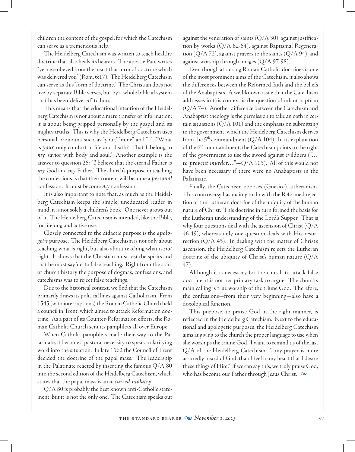children the content of the gospel, for which the Catechism can serve as a tremendous help.

The Heidelberg Catechism was written to teach healthy doctrine that also heals its hearers. The apostle Paul writes "ye have obeyed from the heart that form of doctrine which was delivered you" (Rom. 6:17). The Heidelberg Catechism can serve as this "form of doctrine." The Christian does not live by separate Bible verses, but by a whole biblical system that has been "delivered" to him.

This means that the educational intention of the Heidelberg Catechism is not about a mere transfer of information; it is about being gripped personally by the gospel and its mighty truths. This is why the Heidelberg Catechism uses personal pronouns such as "your," "mine" and "I." "What is *your* only comfort in life and death? That *I* belong to *my* savior with body and soul." Another example is the answer to question 26: "*I* believe that the eternal Father is *my* God and *my* Father." The church's purpose in teaching the confessions is that their content will become a *personal* confession. It must become *my* confession.

It is also important to note that, as much as the Heidelberg Catechism keeps the simple, uneducated reader in mind, it is not solely a children's book. One never grows out of it. The Heidelberg Catechism is intended, like the Bible, for lifelong and active use.

Closely connected to the didactic purpose is the *apologetic* purpose. The Heidelberg Catechism is not only about teaching what is right, but also about teaching what is *not* right. It shows that the Christian must test the spirits and that he must say 'no' to false teaching. Right from the start of church history the purpose of dogmas, confessions, and catechisms was to reject false teachings.

Due to the historical context, we find that the Catechism primarily draws its political lines against Catholicism. From 1545 (with interruptions) the Roman Catholic Church held a council in Trent, which aimed to attack Reformation doctrine. As a part of its Counter-Reformation efforts, the Roman Catholic Church sent its pamphlets all over Europe.

When Catholic pamphlets made their way to the Palatinate, it became a pastoral necessity to speak a clarifying word into the situation. In late 1562 the Council of Trent decided the doctrine of the papal mass. The leadership in the Palatinate reacted by inserting the famous  $Q/A 80$ into the second edition of the Heidelberg Catechism, which states that the papal mass is an *accursed idolatry*.

Q/A 80 is probably the best known anti-Catholic statement, but it is not the only one. The Catechism speaks out against the veneration of saints  $(Q/A 30)$ , against justification by works (Q/A 62-64), against Baptismal Regeneration  $(Q/A 72)$ , against prayers to the saints  $(Q/A 94)$ , and against worship through images (Q/A 97-98).

 Even though attacking Roman Catholic doctrines is one of the most prominent aims of the Catechism, it also shows the differences between the Reformed faith and the beliefs of the Anabaptists. A well-known issue that the Catechism addresses in this context is the question of infant baptism (Q/A 74). Another difference between the Catechism and Anabaptist theology is the permission to take an oath in certain situations  $(Q/A\ 101)$  and the emphasis on submitting to the government, which the Heidelberg Catechism derives from the 5<sup>th</sup> commandment ( $Q/A$  104). In its explanation of the 6<sup>th</sup> commandment, the Catechism points to the right of the government to use the sword against evildoers (*"… to prevent murder…"*—Q/A 105). All of this would not have been necessary if there were no Anabaptists in the Palatinate.

Finally, the Catechism opposes (Gnesio-)Lutheranism. This controversy has mainly to do with the Reformed rejection of the Lutheran doctrine of the ubiquity of the human nature of Christ. This doctrine in turn formed the basis for the Lutheran understanding of the Lord's Supper. That is why four questions deal with the ascension of Christ  $\left( Q/A \right)$ 46-49), whereas only one question deals with His resurrection  $(Q/A 45)$ . In dealing with the matter of Christ's ascension, the Heidelberg Catechism rejects the Lutheran doctrine of the ubiquity of Christ's human nature (Q/A 47).

Although it is necessary for the church to attack false doctrine, it is not her primary task to argue. The church's main calling is true worship of the triune God. Therefore, the confessions—from their very beginning—also have a doxological function.

This purpose, to praise God in the right manner, is reflected in the Heidelberg Catechism. Next to the educational and apologetic purposes, the Heidelberg Catechism aims at giving to the church the proper language to use when she worships the triune God. I want to remind us of the last Q/A of the Heidelberg Catechism: "...my prayer is more assuredly heard of God, than I feel in my heart that I desire these things of Him." If we can say this, we truly praise God, who has become our Father through Jesus Christ.  $\infty$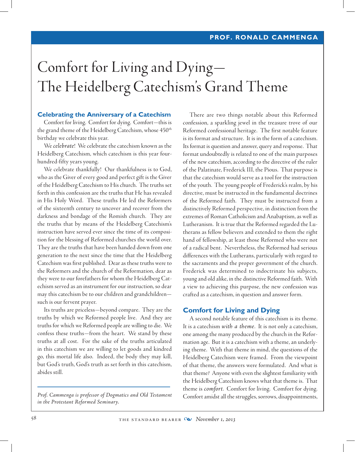# Comfort for Living and Dying— The Heidelberg Catechism's Grand Theme

#### **Celebrating the Anniversary of a Catechism**

Comfort for living. Comfort for dying. Comfort—this is the grand theme of the Heidelberg Catechism, whose 450<sup>th</sup> birthday we celebrate this year.

We *celebrate*! We celebrate the catechism known as the Heidelberg Catechism, which catechism is this year fourhundred-fifty years young.

We celebrate thankfully! Our thankfulness is to God, who as the Giver of every good and perfect gift is the Giver of the Heidelberg Catechism to His church. The truths set forth in this confession are the truths that He has revealed in His Holy Word. These truths He led the Reformers of the sixteenth century to uncover and recover from the darkness and bondage of the Romish church. They are the truths that by means of the Heidelberg Catechism's instruction have served ever since the time of its composition for the blessing of Reformed churches the world over. They are the truths that have been handed down from one generation to the next since the time that the Heidelberg Catechism was first published. Dear as these truths were to the Reformers and the church of the Reformation, dear as they were to our forefathers for whom the Heidelberg Catechism served as an instrument for our instruction, so dear may this catechism be to our children and grandchildren such is our fervent prayer.

Its truths are priceless—beyond compare. They are the truths by which we Reformed people live. And they are truths for which we Reformed people are willing to die. We confess these truths—from the heart. We stand by these truths at all cost. For the sake of the truths articulated in this catechism we are willing to let goods and kindred go, this mortal life also. Indeed, the body they may kill, but God's truth, God's truth as set forth in this catechism, abides still.

*Prof. Cammenga is professor of Dogmatics and Old Testament in the Protestant Reformed Seminary.*

There are two things notable about this Reformed confession, a sparkling jewel in the treasure trove of our Reformed confessional heritage. The first notable feature is its format and structure. It is in the form of a catechism. Its format is question and answer, query and response. That format undoubtedly is related to one of the main purposes of the new catechism, according to the directive of the ruler of the Palatinate, Frederick III, the Pious. That purpose is that the catechism would serve as a tool for the instruction of the youth. The young people of Frederick's realm, by his directive, must be instructed in the fundamental doctrines of the Reformed faith. They must be instructed from a distinctively Reformed perspective, in distinction from the extremes of Roman Catholicism and Anabaptism, as well as Lutheranism. It is true that the Reformed regarded the Lutherans as fellow believers and extended to them the right hand of fellowship, at least those Reformed who were not of a radical bent. Nevertheless, the Reformed had serious differences with the Lutherans, particularly with regard to the sacraments and the proper government of the church. Frederick was determined to indoctrinate his subjects, young and old alike, in the distinctive Reformed faith. With a view to achieving this purpose, the new confession was crafted as a catechism, in question and answer form.

#### **Comfort for Living and Dying**

A second notable feature of this catechism is its theme. It is a catechism *with a theme*. It is not only a catechism, one among the many produced by the church in the Reformation age. But it is a catechism with a theme, an underlying theme. With that theme in mind, the questions of the Heidelberg Catechism were framed. From the viewpoint of that theme, the answers were formulated. And what is that theme? Anyone with even the slightest familiarity with the Heidelberg Catechism knows what that theme is. That theme is *comfort*. Comfort for living. Comfort for dying. Comfort amidst all the struggles, sorrows, disappointments,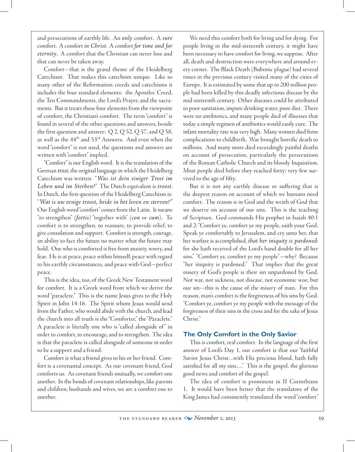and persecutions of earthly life. An *only* comfort. A *sure*  comfort. A comfort *in Christ*. A comfort *for time and for eternity.* A comfort that the Christian can never lose and that can never be taken away.

Comfort—that is the grand theme of the Heidelberg Catechism. That makes this catechism unique. Like so many other of the Reformation creeds and catechisms it includes the four standard elements: the Apostles' Creed, the Ten Commandments, the Lord's Prayer, and the sacraments. But it treats these four elements from the viewpoint of comfort, the Christian's comfort. The term "comfort" is found in several of the other questions and answers, beside the first question and answer:  $Q$  2,  $Q$  52,  $Q$  57, and  $Q$  58, as well as the 44th and 53rd Answers. And even when the word "comfort" is not used, the questions and answers are written with "comfort" implied.

"Comfort" is our English word. It is the translation of the German *trost*, the original language in which the Heidelberg Catechism was written. "*Was ist dein einiger Trost im Leben und im Sterben?*" The Dutch equivalent is *troost*. In Dutch, the first question of the Heidelberg Catechism is: "*Wat is uw eenige troost, beide in het leven en sterven?"* Our English word "comfort" comes from the Latin. It means "to strengthen" (*fortis*) "together with" (*con* or *cum*). To comfort is to strengthen, to reassure, to provide relief, to give consolation and support. Comfort is strength, courage, an ability to face the future no matter what the future may hold. One who is comforted is free from anxiety, worry, and fear. He is at peace, peace within himself, peace with regard to his earthly circumstances, and peace with God—perfect peace.

This is the idea, too, of the Greek New Testament word for comfort. It is a Greek word from which we derive the word "paraclete." This is the name Jesus gives to the Holy Spirit in John 14-16. The Spirit whom Jesus would send from the Father, who would abide with the church, and lead the church into all truth is the "Comforter," the "Paraclete." A paraclete is literally one who is "called alongside of " in order to comfort, to encourage, and to strengthen. The idea is that the paraclete is called alongside of someone in order to be a support and a friend.

Comfort is what a friend gives to his or her friend. Comfort is a covenantal concept. As our covenant friend, God comforts us. As covenant friends mutually, we comfort one another. In the bonds of covenant relationships, like parents and children, husbands and wives, we are a comfort one to another.

We need this comfort both for living and for dying. For people living in the mid-sixteenth century, it might have been necessary to have comfort for living, we suppose. After all, death and destruction were everywhere and around every corner. The Black Death (Bubonic plague) had several times in the previous century visited many of the cities of Europe. It is estimated by some that up to 200 million people had been killed by this deadly infectious disease by the mid-sixteenth century. Other diseases could be attributed to poor sanitation, impure drinking water, poor diet. There were no antibiotics, and many people died of illnesses that today a simple regimen of antibiotics would easily cure. The infant mortality rate was very high. Many women died from complications to childbirth. War brought horrific death to millions. And many more died exceedingly painful deaths on account of persecution, particularly the persecutions of the Roman Catholic Church and its bloody Inquisition. Most people died before they reached forty; very few survived to the age of fifty.

But it is not any earthly disease or suffering that is the deepest reason on account of which we humans need comfort. The reason is in God and the wrath of God that we deserve on account of our sins. This is the teaching of Scripture. God commands His prophet in Isaiah 40:1 and 2: "Comfort ye, comfort ye my people, saith your God. Speak ye comfortably to Jerusalem, and cry unto her, that her warfare is accomplished, *that her iniquity is pardoned*: for she hath received of the Lord's hand double for all her sins." "Comfort ye, comfort ye my people"—why? Because "her iniquity is pardoned." That implies that the great misery of God's people is their sin unpardoned by God. Not war, not sickness, not disease, not economic woe, but our sin—this is the cause of the misery of man. For this reason, man's comfort is the forgiveness of his sins by God. "Comfort ye, comfort ye my people with the message of the forgiveness of their sins in the cross and for the sake of Jesus Christ."

#### **The Only Comfort in the Only Savior**

This is comfort, real comfort. In the language of the first answer of Lord's Day 1, our comfort is that our "faithful Savior Jesus Christ…with His precious blood, hath fully satisfied for all my sins…." This is the gospel, the glorious good news and comfort of the gospel.

The idea of comfort is prominent in II Corinthians 1. It would have been better that the translators of the King James had consistently translated the word "comfort"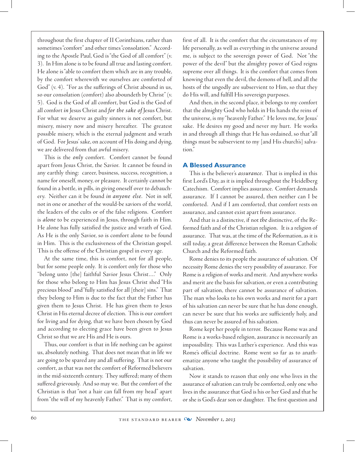throughout the first chapter of II Corinthians, rather than sometimes "comfort" and other times "consolation." According to the Apostle Paul, God is "the God of all comfort" (v. 3). In Him alone is to be found all true and lasting comfort. He alone is "able to comfort them which are in any trouble, by the comfort wherewith we ourselves are comforted of God" (v. 4). "For as the sufferings of Christ abound in us, so our consolation (comfort) also aboundeth by Christ" (v. 5). God is the God of all comfort, but God is the God of all comfort *in* Jesus Christ and *for the sake of* Jesus Christ. For what we deserve as guilty sinners is not comfort, but misery, misery now and misery hereafter. The greatest possible misery, which is the eternal judgment and wrath of God. For Jesus' sake, on account of His doing and dying, we are delivered from that awful misery.

This is the *only* comfort. Comfort cannot be found apart from Jesus Christ, the Savior. It cannot be found in any earthly thing: career, business, success, recognition, a name for oneself, money, or pleasure. It certainly cannot be found in a bottle, in pills, in giving oneself over to debauchery. Neither can it be found *in anyone else*. Not in self, not in one or another of the would-be saviors of the world, the leaders of the cults or of the false religions. Comfort is *alone* to be experienced in Jesus, through faith in Him. He alone has fully satisfied the justice and wrath of God. As He is the only Savior, so is comfort alone to be found in Him. This is the exclusiveness of the Christian gospel. This is the offense of the Christian gospel in every age.

At the same time, this is comfort, not for all people, but for some people only. It is comfort only for those who "belong unto [the] faithful Savior Jesus Christ…." Only for those who belong to Him has Jesus Christ shed "His precious blood" and "fully satisfied for all [their] sins." That they belong to Him is due to the fact that the Father has given them to Jesus Christ. He has given them to Jesus Christ in His eternal decree of election. This is our comfort for living and for dying, that we have been chosen by God and according to electing grace have been given to Jesus Christ so that we are His and He is ours.

Thus, our comfort is that in life nothing can be against us, absolutely nothing. That does not mean that in life we are going to be spared any and all suffering. That is not our comfort, as that was not the comfort of Reformed believers in the mid-sixteenth century. They suffered; many of them suffered grievously. And so may we. But the comfort of the Christian is that "not a hair can fall from my head" apart from "the will of my heavenly Father." That is my comfort, first of all. It is the comfort that the circumstances of my life personally, as well as everything in the universe around me, is subject to the sovereign power of God. Not "the power of the devil" but the almighty power of God reigns supreme over all things. It is the comfort that comes from knowing that even the devil, the demons of hell, and all the hosts of the ungodly are subservient to Him, so that they do His will, and fulfill His sovereign purposes.

And then, in the second place, it belongs to my comfort that the almighty God who holds in His hands the reins of the universe, is my "heavenly Father." He loves me, for Jesus' sake. He desires my good and never my hurt. He works in and through all things that He has ordained, so that "all things must be subservient to my [and His church's] salvation."

#### **A Blessed Assurance**

This is the believer's *assurance*. That is implied in this first Lord's Day, as it is implied throughout the Heidelberg Catechism. Comfort implies assurance. Comfort demands assurance. If I cannot be assured, then neither can I be comforted. And if I am comforted, that comfort rests on assurance, and cannot exist apart from assurance.

And that is a distinctive, if not *the* distinctive, of the Reformed faith and of the Christian religion. It is a religion of assurance. That was, at the time of the Reformation, as it is still today, a great difference between the Roman Catholic Church and the Reformed faith.

Rome denies to its people the assurance of salvation. Of necessity Rome denies the very possibility of assurance. For Rome is a religion of works and merit. And anywhere works and merit are the basis for salvation, or even a contributing part of salvation, there cannot be assurance of salvation. The man who looks to his own works and merit for a part of his salvation can never be sure that he has done enough, can never be sure that his works are sufficiently holy, and thus can never be assured of his salvation.

Rome kept her people in terror. Because Rome was and Rome is a works-based religion, assurance is necessarily an impossibility. This was Luther's experience. And this was Rome's official doctrine. Rome went so far as to anathematize anyone who taught the possibility of assurance of salvation.

Now it stands to reason that only one who lives in the assurance of salvation can truly be comforted, only one who lives in the assurance that God is his or her God and that he or she is God's dear son or daughter. The first question and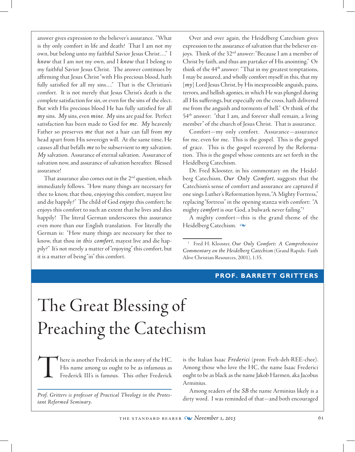answer gives expression to the believer's assurance. "What is thy only comfort in life and death? That I am not my own, but belong unto my faithful Savior Jesus Christ…." I *know* that I am not my own, and I *know* that I belong to my faithful Savior Jesus Christ. The answer continues by affirming that Jesus Christ "with His precious blood, hath fully satisfied for all my sins...." That is the Christian's comfort. It is not merely that Jesus Christ's death is the complete satisfaction for sin, or even for the sins of the elect. But with His precious blood He has fully satisfied for all *my* sins. *My* sins, even *mine*. *My* sins are paid for. Perfect satisfaction has been made to God for *me*. *My* heavenly Father so preserves *me* that not a hair can fall from *my*  head apart from His sovereign will. At the same time, He causes all that befalls *me* to be subservient to *my* salvation. *My* salvation. Assurance of eternal salvation. Assurance of salvation now, and assurance of salvation hereafter. Blessed assurance!

That assurance also comes out in the  $2<sup>nd</sup>$  question, which immediately follows. "How many things are necessary for thee to know, that thou, enjoying this comfort, mayest live and die happily?" The child of God *enjoys* this comfort; he enjoys this comfort to such an extent that he lives and dies happily! The literal German underscores this assurance even more than our English translation. For literally the German is: "How many things are necessary for thee to know, that thou *in this comfort*, mayest live and die happily?" It's not merely a matter of "enjoying" this comfort, but it is a matter of being "in" this comfort.

 Over and over again, the Heidelberg Catechism gives expression to the assurance of salvation that the believer enjoys. Think of the 32nd answer: "Because I am a member of Christ by faith, and thus am partaker of His anointing." Or think of the  $44<sup>th</sup>$  answer: "That in my greatest temptations, I may be assured, and wholly comfort myself in this, that my [*my*] Lord Jesus Christ, by His inexpressible anguish, pains, terrors, and hellish agonies, in which He was plunged during all His sufferings, but especially on the cross, hath delivered me from the anguish and torments of hell." Or think of the  $54<sup>th</sup>$  answer: "that I am, and forever shall remain, a living member" of the church of Jesus Christ. That is assurance.

Comfort—my only comfort. Assurance—assurance for me, even for me. This is the gospel. This is the gospel of grace. This is the gospel recovered by the Reformation. This is the gospel whose contents are set forth in the Heidelberg Catechism.

Dr. Fred Klooster, in his commentary on the Heidelberg Catechism, *Our Only Comfort*, suggests that the Catechism's sense of comfort and assurance are captured if one sings Luther's Reformation hymn, "A Mighty Fortress," replacing "fortress" in the opening stanza with comfort: "A mighty *comfort* is our God, a bulwark never failing."1

A mighty comfort—this is the grand theme of the Heidelberg Catechism.  $\infty$ 

### **PROF. BARRETT GRITTERS**

# The Great Blessing of Preaching the Catechism

here is another Frederick in the story of the HC. His name among us ought to be as infamous as Frederick III's is famous. This other Frederick

*Prof. Gritters is professor of Practical Theology in the Protestant Reformed Seminary.*

is the Italian Isaac *Frederici* (pron: Freh-deh-REE-chee). Among those who love the HC, the name Isaac Frederici ought to be as black as the name Jakob Harmen, aka Jacobus Arminius.

Among readers of the *SB* the name Arminius likely is a dirty word. I was reminded of that—and both encouraged

<sup>1</sup> Fred H. Klooster, *Our Only Comfort: A Comprehensive Commentary on the Heidelberg Catechism* (Grand Rapids: Faith Alive Christian Resources, 2001), 1:35.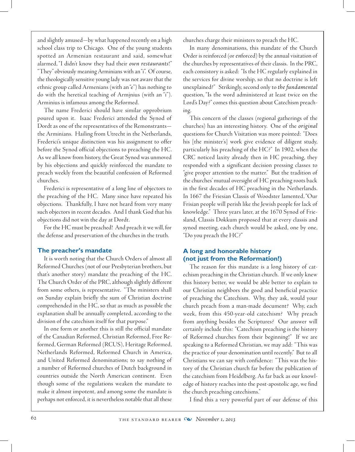and slightly amused—by what happened recently on a high school class trip to Chicago. One of the young students spotted an Armenian restaurant and said, somewhat alarmed, "I didn't know they had their *own restaurants*!" "They" obviously meaning Arminians with an "i". Of course, the theologically sensitive young lady was not aware that the ethnic group called Armenians (with an "e") has nothing to do with the heretical teaching of Arminius (with an "i"). Arminius is infamous among the Reformed.

The name Frederici should have similar opprobrium poured upon it. Isaac Frederici attended the Synod of Dordt as one of the representatives of the Remonstrants the Arminians. Hailing from Utrecht in the Netherlands, Frederici's unique distinction was his assignment to offer before the Synod official objections to preaching the HC. As we all know from history, the Great Synod was unmoved by his objections and quickly reinforced the mandate to preach weekly from the beautiful confession of Reformed churches.

Frederici is representative of a long line of objectors to the preaching of the HC. Many since have repeated his objections. Thankfully, I have not heard from very many such objectors in recent decades. And I thank God that his objections did not win the day at Dordt.

For the HC must be preached! And preach it we will, for the defense and preservation of the churches in the truth.

### **The preacher's mandate**

It is worth noting that the Church Orders of almost all Reformed Churches (not of our Presbyterian brothers, but that's another story) mandate the preaching of the HC. The Church Order of the PRC, although slightly different from some others, is representative. "The ministers shall on Sunday explain briefly the sum of Christian doctrine comprehended in the HC, so that as much as possible the explanation shall be annually completed, according to the division of the catechism itself for that purpose."

In one form or another this is still the official mandate of the Canadian Reformed, Christian Reformed, Free Reformed, German Reformed (RCUS), Heritage Reformed, Netherlands Reformed, Reformed Church in America, and United Reformed denominations; to say nothing of a number of Reformed churches of Dutch background in countries outside the North American continent. Even though some of the regulations weaken the mandate to make it almost impotent, and among some the mandate is perhaps not enforced, it is nevertheless notable that all these

churches charge their ministers to preach the HC.

In many denominations, this mandate of the Church Order is reinforced (or *en*forced) by the annual visitation of the churches by representatives of their classis. In the PRC, each consistory is asked: "Is the HC regularly explained in the services for divine worship, so that no doctrine is left unexplained?" Strikingly, second only to *the fundamental* question, "Is the word administered at least twice on the Lord's Day?" comes this question about Catechism preaching.

This concern of the classes (regional gatherings of the churches) has an interesting history. One of the *original* questions for Church Visitation was more pointed: "Does his [the minister's] work give evidence of diligent study, particularly his preaching of the HC?" In 1902, when the CRC noticed laxity already then in HC preaching, they responded with a significant decision pressing classes to "give proper attention to the matter." But the tradition of the churches' mutual oversight of HC preaching roots back in the first decades of HC preaching in the Netherlands. In 1667 the Friesian Classis of Woodster lamented, "Our Frisian people will perish like the Jewish people for lack of knowledge." Three years later, at the 1670 Synod of Friesland, Classis Dokkum proposed that at every classis and synod meeting, each church would be asked, one by one, "Do you preach the HC?"

### **A long and honorable history (not just from the Reformation!)**

The reason for this mandate is a long history of catechism preaching in the Christian church. If we only knew this history better, we would be able better to explain to our Christian neighbors the good and beneficial practice of preaching the Catechism. Why, they ask, would your church preach from a man-made document? Why, each week, from this 450-year-old catechism? Why preach from anything besides the Scriptures? Our answer will certainly include this: "Catechism preaching is the history of Reformed churches from their beginning!" If we are speaking to a Reformed Christian, we may add: "This was the practice of your denomination until recently." But to all Christians we can say with confidence: "This was the history of the Christian church far before the publication of the catechism from Heidelberg. As far back as our knowledge of history reaches into the post-apostolic age, we find the church preaching catechisms."

I find this a very powerful part of our defense of this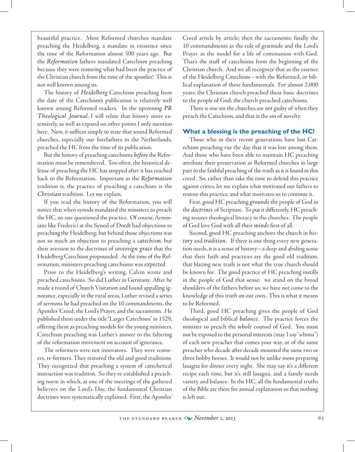beautiful practice. Most Reformed churches mandate preaching the Heidelberg, a mandate in existence since the time of the Reformation almost 500 years ago. But the *Reformation* fathers mandated Catechism preaching because they were restoring what had been the practice of the Christian church from the time of the apostles! This is not well known among us.

The history of *Heidelberg* Catechism preaching from the date of the Catechism's publication is relatively well known among Reformed readers. In the upcoming *PR Theological Journal*, I will relate that history more extensively, as well as expand on other points I only mention here. Now, it suffices simply to state that sound Reformed churches, especially our forefathers in the Netherlands, preached the HC from the time of its publication.

But the history of preaching catechisms *before* the Reformation must be remembered. Too often, the historical defense of preaching the HC has stopped after it has reached back to the Reformation. Important as the *Reformation* tradition is, the practice of preaching a catechism is the *Christian* tradition. Let me explain.

If you read the history of the Reformation, you will notice that when synods mandated the ministers to preach the HC, no one questioned the practice. Of course, Arminians like Frederici at the Synod of Dordt had objections to preaching the Heidelberg; but behind those objections was not so much an objection to preaching a *catechism*, but their aversion to the doctrines of *sovereign grace* that the Heidelberg Catechism propounded. At the time of the Reformation, ministers preaching catechisms was *expected*.

Prior to the Heidelberg's writing, Calvin wrote and preached catechisms. So did Luther in Germany. After he made a round of Church Visitation and found appalling ignorance, especially in the rural areas, Luther revised a series of sermons he had preached on the 10 commandments, the Apostles' Creed, the Lord's Prayer, and the sacraments. He published them under the title "Larger Catechism" in 1529, offering them as preaching models for the young ministers. Catechism preaching was Luther's answer to the faltering of the reformation movement on account of ignorance.

The reformers were not innovators. They were restorers, re-formers. They restored the old and good traditions. They recognized that preaching a system of catechetical instruction was tradition. So they re-established a preaching norm in which, at one of the meetings of the gathered believers on the Lord's Day, the fundamental Christian doctrines were systematically explained. First, the Apostles' Creed article by article; then the sacraments; finally the 10 commandments as the rule of gratitude and the Lord's Prayer as the model for a life of communion with God. That's the stuff of catechisms from the beginning of the Christian church. And we all recognize that as the essence of the Heidelberg Catechism—with the Reformed, or biblical explanation of these fundamentals. For almost 2,000 years, the Christian church preached these basic doctrines to the people of God; the church preached catechisms.

There is one sin the churches are not guilty of when they preach the Catechism, and that is the sin of novelty.

#### **What a blessing is the preaching of the HC!**

Those who in their recent generations have lost Catechism preaching rue the day that it was lost among them. And those who have been able to maintain HC preaching attribute their preservation as Reformed churches in large part to the faithful preaching of the truth as it is found in this creed. So, rather than take the time to defend this practice against critics, let me explain what motivated our fathers to restore this practice, and what motivates us to continue it.

First, good HC preaching *grounds* the people of God in the *doctrines* of Scripture. To put it differently, HC preaching assures theological literacy in the churches. The people of God love God with all their *minds* first of all.

Second, good HC preaching anchors the church in *history* and *tradition.* If there is one thing every new generation needs, it is a sense of history—a deep and abiding sense that their faith and practices are the good old tradition, that blazing new trails is not what the true church should be known for. The good practice of HC preaching instills in the people of God that sense: we stand on the broad shoulders of the fathers before us; we have not come to the knowledge of this truth on our own. This is what it means to be Reformed.

Third, good HC preaching gives the people of God theological and biblical *balance*. The practice forces the minister to preach the *whole* counsel of God. You must not be exposed to the personal interests (may I say "whims") of each new preacher that comes your way, or of the same preacher who decade after decade mounted the same two or three hobby horses. It would not be unlike mom preparing lasagna for dinner every night. She may say it's a different recipe each time, but it's still lasagna, and a family needs variety and balance. In the HC, all the fundamental truths of the Bible are there for annual explanation so that nothing is left out.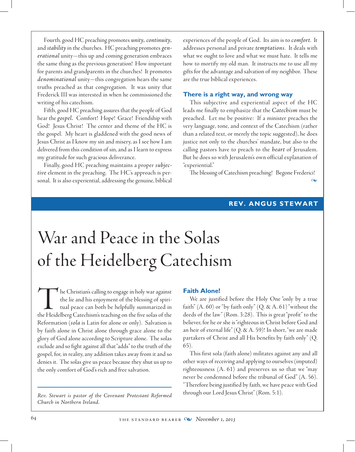Fourth, good HC preaching promotes *unity, continuity,*  and *stability* in the churches. HC preaching promotes *generational* unity—this up and coming generation embraces the same thing as the previous generation! How important for parents and grandparents in the churches! It promotes *denominational* unity—this congregation hears the same truths preached as that congregation. It was unity that Frederick III was interested in when he commissioned the writing of his catechism.

Fifth, good HC preaching assures that the people of God hear the *gospel.* Comfort! Hope! Grace! Friendship with God! Jesus Christ! The center and theme of the HC is the gospel. My heart is gladdened with the good news of Jesus Christ as I know my sin and misery, as I see how I am delivered from this condition of sin, and as I learn to express my gratitude for such gracious deliverance.

Finally, good HC preaching maintains a proper *subjective* element in the preaching. The HC's approach is personal. It is also experiential, addressing the genuine, biblical experiences of the people of God. Its aim is to *comfort*. It addresses personal and private *temptations*. It deals with what we ought to love and what we must hate. It tells me how to mortify my old man. It instructs me to use all my gifts for the advantage and salvation of my neighbor. These are the true biblical experiences.

#### **There is a right way, and wrong way**

This subjective and experiential aspect of the HC leads me finally to emphasize that the *Catechism* must be preached. Let me be positive: If a minister preaches the very language, tone, and context of the Catechism (rather than a related text, or merely the topic suggested), he does justice not only to the churches' mandate, but also to the calling pastors have to preach to the *heart* of Jerusalem. But he does so with Jerusalem's own official explanation of "experiential."

The blessing of Catechism preaching! Begone Frederici!

### m

# **REV. ANGUS STEWART**

# War and Peace in the Solas of the Heidelberg Catechism

 $\mathbf \tau$  he Christian's calling to engage in holy war against the lie and his enjoyment of the blessing of spiritual peace can both be helpfully summarized in the Heidelberg Catechism's teaching on the five solas of the Reformation (*sola* is Latin for alone or only). Salvation is by faith alone in Christ alone through grace alone to the glory of God alone according to Scripture alone. The solas exclude and so fight against all that "adds" to the truth of the gospel, for, in reality, any addition takes away from it and so denies it. The solas give us peace because they shut us up to the only comfort of God's rich and free salvation.

*Rev. Stewart is pastor of the Covenant Protestant Reformed Church in Northern Ireland.*

#### **Faith Alone!**

We are justified before the Holy One "only by a true faith"  $(A. 60)$  or "by faith only"  $(Q. \& A. 61)$  "without the deeds of the law" (Rom. 3:28). This is great "profit" to the believer, for he or she is "righteous in Christ before God and an heir of eternal life"  $(Q, \& A. 59)$ ! In short, "we are made partakers of Christ and all His benefits by faith only" (Q. 65).

This first sola (faith alone) militates against any and all other ways of receiving and applying to ourselves (imputed) righteousness (A. 61) and preserves us so that we "may never be condemned before the tribunal of God" (A. 56). "Therefore being justified by faith, we have peace with God through our Lord Jesus Christ" (Rom. 5:1).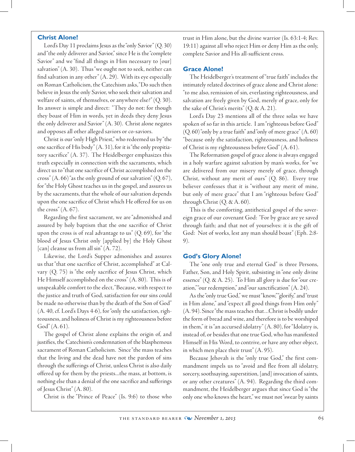#### **Christ Alone!**

 Lord's Day 11 proclaims Jesus as the "only Savior" (Q. 30) and "the only deliverer and Savior," since He is the "complete Savior" and we "find all things in Him necessary to [our] salvation" (A. 30). Thus "we ought not to seek, neither can find salvation in any other" (A. 29). With its eye especially on Roman Catholicism, the Catechism asks, "Do such then believe in Jesus the only Savior, who seek their salvation and welfare of saints, of themselves, or anywhere else?" (Q. 30). Its answer is simple and direct: "They do not: for though they boast of Him in words, yet in deeds they deny Jesus the only deliverer and Savior" (A. 30). Christ alone negates and opposes all other alleged saviors or co-saviors.

Christ is our "only High Priest," who redeemed us by "the one sacrifice of His body" (A. 31), for it is "the only propitiatory sacrifice" (A. 37). The Heidelberger emphasizes this truth especially in connection with the sacraments, which direct us to "that one sacrifice of Christ accomplished on the cross"  $(A. 66)$ " as the only ground of our salvation"  $(Q. 67)$ , for "the Holy Ghost teaches us in the gospel, and assures us by the sacraments, that the whole of our salvation depends upon the one sacrifice of Christ which He offered for us on the cross" (A. 67).

Regarding the first sacrament, we are "admonished and assured by holy baptism that the one sacrifice of Christ upon the cross is of real advantage to us"  $(Q. 69)$ , for "the blood of Jesus Christ only [applied by] the Holy Ghost [can] cleanse us from all sin" (A. 72).

 Likewise, the Lord's Supper admonishes and assures us that "that one sacrifice of Christ, accomplished" at Calvary (Q. 75) is "the only sacrifice of Jesus Christ, which He Himself accomplished on the cross" (A. 80). This is of unspeakable comfort to the elect, "Because, with respect to the justice and truth of God, satisfaction for our sins could be made no otherwise than by the death of the Son of God" (A. 40, cf. Lord's Days 4-6), for "only the satisfaction, righteousness, and holiness of Christ is my righteousness before God" (A. 61).

The gospel of Christ alone explains the origin of, and justifies, the Catechism's condemnation of the blasphemous sacrament of Roman Catholicism. Since "the mass teaches that the living and the dead have not the pardon of sins through the sufferings of Christ, unless Christ is also daily offered up for them by the priests...the mass, at bottom, is nothing else than a denial of the one sacrifice and sufferings of Jesus Christ" (A. 80).

Christ is the "Prince of Peace" (Is. 9:6) to those who

trust in Him alone, but the divine warrior (Is. 63:1-4; Rev. 19:11) against all who reject Him or deny Him as the only, complete Savior and His all-sufficient cross.

#### **Grace Alone!**

The Heidelberger's treatment of "true faith" includes the intimately related doctrines of grace alone and Christ alone: "to me also, remission of sin, everlasting righteousness, and salvation are freely given by God, merely of grace, only for the sake of Christ's merits"  $(Q, \& A, 21)$ .

 Lord's Day 23 mentions all of the three solas we have spoken of so far in this article. I am "righteous before God" (Q. 60) "only by a true faith" and "only of mere grace" (A. 60) "because only the satisfaction, righteousness, and holiness of Christ is my righteousness before God" (A. 61).

The Reformation gospel of grace alone is always engaged in a holy warfare against salvation by man's works, for "we are delivered from our misery merely of grace, through Christ, without any merit of ours" (Q. 86). Every true believer confesses that it is "without any merit of mine, but only of mere grace" that I am "righteous before God" through Christ (Q. & A. 60).

This is the comforting, antithetical gospel of the sovereign grace of our covenant God: "For by grace are ye saved through faith; and that not of yourselves: it is the gift of God: Not of works, lest any man should boast" (Eph. 2:8- 9).

#### **God's Glory Alone!**

The "one only true and eternal God" is three Persons, Father, Son, and Holy Spirit, subsisting in "one only divine essence" (Q. & A. 25). To Him all glory is due for "our creation," "our redemption," and "our sanctification" (A. 24).

As the "only true God," we must "know," "glorify," and "trust in Him alone," and "expect all good things from Him only" (A. 94). Since "the mass teaches that…Christ is bodily under the form of bread and wine, and therefore is to be worshiped in them," it is "an accursed idolatry" (A. 80), for "Idolatry is, instead of, or besides that one true God, who has manifested Himself in His Word, to contrive, or have any other object, in which men place their trust" (A. 95).

Because Jehovah is the "only true God," the first commandment impels us to "avoid and flee from all idolatry, sorcery, soothsaying, superstition, [and] invocation of saints, or any other creatures" (A. 94). Regarding the third commandment, the Heidelberger argues that since God is "the only one who knows the heart," we must not "swear by saints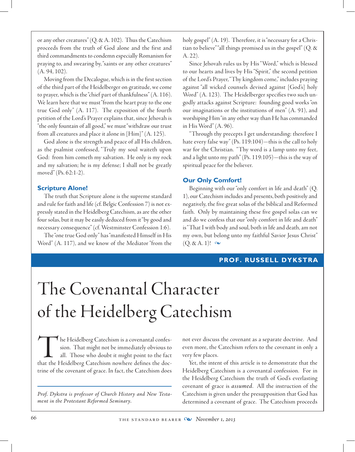or any other creatures" (Q. & A. 102). Thus the Catechism proceeds from the truth of God alone and the first and third commandments to condemn especially Romanism for praying to, and swearing by, "saints or any other creatures" (A. 94, 102).

Moving from the Decalogue, which is in the first section of the third part of the Heidelberger on gratitude, we come to prayer, which is the "chief part of thankfulness" (A. 116). We learn here that we must "from the heart pray to the one true God only" (A. 117). The exposition of the fourth petition of the Lord's Prayer explains that, since Jehovah is "the only fountain of all good," we must "withdraw our trust from all creatures and place it alone in [Him]" (A. 125).

God alone is the strength and peace of all His children, as the psalmist confessed, "Truly my soul waiteth upon God: from him cometh my salvation. He only is my rock and my salvation; he is my defense; I shall not be greatly moved" (Ps. 62:1-2).

#### **Scripture Alone!**

The truth that Scripture alone is the supreme standard and rule for faith and life (cf. Belgic Confession 7) is not expressly stated in the Heidelberg Catechism, as are the other four solas, but it may be easily deduced from it "by good and necessary consequence" (cf. Westminster Confession 1:6).

The "one true God only" has "manifested Himself in His Word" (A. 117), and we know of the Mediator "from the holy gospel" (A. 19). Therefore, it is "necessary for a Christian to believe" "all things promised us in the gospel" (Q.  $\&$ A. 22).

Since Jehovah rules us by His "Word," which is blessed to our hearts and lives by His "Spirit," the second petition of the Lord's Prayer, "Thy kingdom come," includes praying against "all wicked counsels devised against [God's] holy Word" (A. 123). The Heidelberger specifies two such ungodly attacks against Scripture: founding good works "on our imaginations or the institutions of men" (A. 91), and worshiping Him "in any other way than He has commanded in His Word" (A. 96).

"Through thy precepts I get understanding: therefore I hate every false way" (Ps. 119:104)—this is the call to holy war for the Christian. "Thy word is a lamp unto my feet, and a light unto my path" (Ps. 119:105)—this is the way of spiritual peace for the believer.

#### **Our Only Comfort!**

Beginning with our "only comfort in life and death" (Q. 1), our Catechism includes and presents, both positively and negatively, the five great solas of the biblical and Reformed faith. Only by maintaining these five gospel solas can we and do we confess that our "only comfort in life and death" is "That I with body and soul, both in life and death, am not my own, but belong unto my faithful Savior Jesus Christ"  $(Q. \& A. 1)!$   $\infty$ 

### **PROF. RUSSELL DYKSTRA**

# The Covenantal Character of the Heidelberg Catechism

 $\P$  he Heidelberg Catechism is a covenantal confession. That might not be immediately obvious to all. Those who doubt it might point to the fact that the Heidelberg Catechism nowhere defines the doctrine of the covenant of grace. In fact, the Catechism does

*Prof. Dykstra is professor of Church History and New Testament in the Protestant Reformed Seminary.*

not ever discuss the covenant as a separate doctrine. And even more, the Catechism refers to the covenant in only a very few places.

Yet, the intent of this article is to demonstrate that the Heidelberg Catechism is a covenantal confession. For in the Heidelberg Catechism the truth of God's everlasting covenant of grace is *assumed*. All the instruction of the Catechism is given under the presupposition that God has determined a covenant of grace. The Catechism proceeds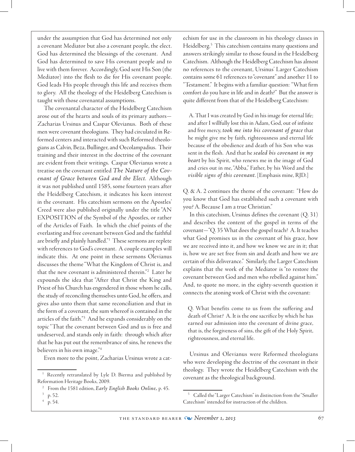under the assumption that God has determined not only a covenant Mediator but also a covenant people, the elect. God has determined the blessings of the covenant. And God has determined to save His covenant people and to live with them forever. Accordingly, God sent His Son (the Mediator) into the flesh to die for His covenant people. God leads His people through this life and receives them to glory. All the theology of the Heidelberg Catechism is taught with those covenantal assumptions.

The covenantal character of the Heidelberg Catechism arose out of the hearts and souls of its primary authors— Zacharias Ursinus and Caspar Olevianus. Both of these men were covenant theologians. They had circulated in Reformed centers and interacted with such Reformed theologians as Calvin, Beza, Bullinger, and Oecolampadius. Their training and their interest in the doctrine of the covenant are evident from their writings. Caspar Olevianus wrote a treatise on the covenant entitled *The Nature of the Covenant of Grace between God and the Elect*. Although it was not published until 1585, some fourteen years after the Heidelberg Catechism, it indicates his keen interest in the covenant. His catechism sermons on the Apostles' Creed were also published originally under the title "AN EXPOSITION of the Symbol of the Apostles, or rather of the Articles of Faith. In which the chief points of the everlasting and free covenant between God and the faithful are briefly and plainly handled."1 These sermons are replete with references to God's covenant. A couple examples will indicate this. At one point in these sermons Olevianus discusses the theme "What the Kingdom of Christ is, and that the new covenant is administered therein."<sup>2</sup> Later he expounds the idea that "After that Christ the King and Priest of his Church has engendered in those whom he calls, the study of reconciling themselves unto God, he offers, and gives also unto them that same reconciliation and that in the form of a covenant, the sum whereof is contained in the articles of the faith."3 And he expands considerably on the topic "That the covenant between God and us is free and undeserved, and stands only in faith: through which after that he has put out the remembrance of sins, he renews the believers in his own image."<sup>4</sup>

Even more to the point, Zacharias Ursinus wrote a cat-

echism for use in the classroom in his theology classes in Heidelberg.5 This catechism contains many questions and answers strikingly similar to those found in the Heidelberg Catechism. Although the Heidelberg Catechism has almost no references to the covenant, Ursinus' Larger Catechism contains some 61 references to "covenant" and another 11 to "Testament." It begins with a familiar question: "What firm comfort do you have in life and in death?" But the answer is quite different from that of the Heidelberg Catechism:

 A. That I was created by God in his image for eternal life; and after I willfully lost this in Adam, God, out of infinite and free mercy, *took me into his covenant of grace* that he might give me by faith, righteousness and eternal life because of the obedience and death of his Son who was sent in the flesh. And that he *sealed his covenant in my heart* by his Spirit, who renews me in the image of God and cries out in me, "Abba," Father, by his Word and the *visible signs of this covenant*. [Emphasis mine, RJD.]

Q. & A. 2 continues the theme of the covenant: "How do you know that God has established such a covenant with you? A. Because I am a true Christian."

In this catechism, Ursinus defines the covenant  $(Q. 31)$ and describes the content of the gospel in terms of the covenant—"Q. 35 What does the gospel teach? A. It teaches what God promises us in the covenant of his grace, how we are received into it, and how we know we are in it; that is, how we are set free from sin and death and how we are certain of this deliverance." Similarly, the Larger Catechism explains that the work of the Mediator is "to restore the covenant between God and men who rebelled against him." And, to quote no more, in the eighty-seventh question it connects the atoning work of Christ with the covenant:

Q. What benefits come to us from the suffering and death of Christ? A. It is the one sacrifice by which he has earned our admission into the covenant of divine grace, that is, the forgiveness of sins, the gift of the Holy Spirit, righteousness, and eternal life.

 Ursinus and Olevianus were Reformed theologians who were developing the doctrine of the covenant in their theology. They wrote the Heidelberg Catechism with the covenant as the theological background.

<sup>&</sup>lt;sup>1</sup> Recently retranslated by Lyle D. Bierma and published by Reformation Heritage Books, 2009.

<sup>2</sup> From the 1581 edition, *Early English Books Online,* p. 45.

 $^{3}$  p. 52.

<sup>4</sup> p. 54.

<sup>&</sup>lt;sup>5</sup> Called the "Larger Catechism" in distinction from the "Smaller Catechism" intended for instruction of the children.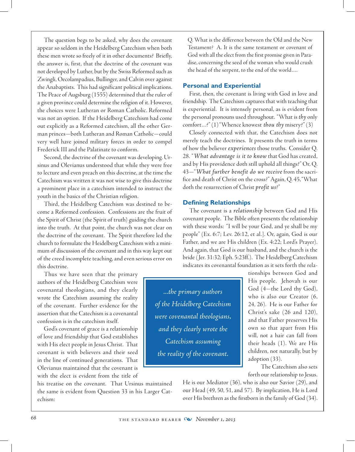The question begs to be asked, why does the covenant appear so seldom in the Heidelberg Catechism when both these men wrote so freely of it in other documents? Briefly, the answer is, first, that the doctrine of the covenant was not developed by Luther, but by the Swiss Reformed such as Zwingli, Oecolampadius, Bullinger, and Calvin over against the Anabaptists. This had significant political implications. The Peace of Augsburg (1555) determined that the ruler of a given province could determine the religion of it. However, the choices were Lutheran or Roman Catholic. Reformed was not an option. If the Heidelberg Catechism had come out explicitly as a Reformed catechism, all the other German princes—both Lutheran and Roman Catholic—could very well have joined military forces in order to compel Frederick III and the Palatinate to conform.

Second, the doctrine of the covenant was developing. Ursinus and Olevianus understood that while they were free to lecture and even preach on this doctrine, at the time the Catechism was written it was not wise to give this doctrine a prominent place in a catechism intended to instruct the youth in the basics of the Christian religion.

Third, the Heidelberg Catechism was destined to become a Reformed confession. Confessions are the fruit of the Spirit of Christ (the Spirit of truth) guiding the church into the truth. At that point, the church was not clear on the doctrine of the covenant. The Spirit therefore led the church to formulate the Heidelberg Catechism with a minimum of discussion of the covenant and in this way kept out of the creed incomplete teaching, and even serious error on this doctrine.

Thus we have seen that the primary authors of the Heidelberg Catechism were covenantal theologians, and they clearly wrote the Catechism assuming the reality of the covenant. Further evidence for the assertion that the Catechism is a covenantal confession is in the catechism itself.

God's covenant of grace is a relationship of love and friendship that God establishes with His elect people in Jesus Christ. That covenant is with believers and their seed in the line of continued generations. That Olevianus maintained that the covenant is with the elect is evident from the title of

his treatise on the covenant. That Ursinus maintained the same is evident from Question 33 in his Larger Catechism:

Q. What is the difference between the Old and the New Testament? A. It is the same testament or covenant of God with all the elect from the first promise given in Paradise, concerning the seed of the woman who would crush the head of the serpent, to the end of the world….

#### **Personal and Experiential**

First, then, the covenant is living with God in love and friendship. The Catechism captures that with teaching that is experiential. It is intensely personal, as is evident from the personal pronouns used throughout. "What is *thy* only comfort…?" (1) "Whence knowest *thou thy* misery?" (3)

Closely connected with that, the Catechism does not merely teach the doctrines. It presents the truth in terms of how the believer *experiences* those truths. Consider Q. 28. "*What advantage is it to know* that God has created, and by His providence doth still uphold all things?" Or, Q. 43—"*What further benefit do we receive* from the sacrifice and death of Christ on the cross?" Again, Q. 45, "What doth the resurrection of Christ *profit us*?"

#### **Defining Relationships**

The covenant is a *relationship* between God and His covenant people. The Bible often presents the relationship with these words: "I will be your God, and ye shall be my people" (Ex. 6:7; Lev. 26:12, et al.]. Or, again, God is our Father, and we are His children (Ex. 4:22; Lord's Prayer). And again, that God is our husband, and the church is the bride ( Jer. 31:32; Eph. 5:23ff.). The Heidelberg Catechism indicates its covenantal foundation as it sets forth the rela-

*...the primary authors of the Heidelberg Catechism were covenantal theologians, and they clearly wrote the Catechism assuming the reality of the covenant.*

tionships between God and His people. Jehovah is our God (4—the Lord thy God), who is also our Creator (6, 24, 26). He is our Father for Christ's sake (26 and 120), and that Father preserves His own so that apart from His will, not a hair can fall from their heads (1). We are His children, not naturally, but by adoption (33).

The Catechism also sets forth our relationship to Jesus.

He is our Mediator (36), who is also our Savior (29), and our Head (49, 50, 51, and 57). By implication, He is Lord over His brethren as the firstborn in the family of God (34).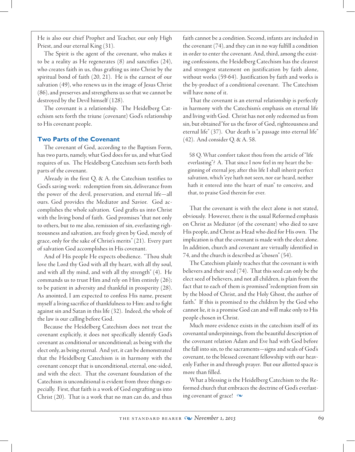He is also our chief Prophet and Teacher, our only High Priest, and our eternal King (31).

The Spirit is the agent of the covenant, who makes it to be a reality as He regenerates (8) and sanctifies (24), who creates faith in us, thus grafting us into Christ by the spiritual bond of faith (20, 21). He is the earnest of our salvation (49), who renews us in the image of Jesus Christ (86), and preserves and strengthens us so that we cannot be destroyed by the Devil himself (128).

The covenant is a relationship. The Heidelberg Catechism sets forth the triune (covenant) God's relationship to His covenant people.

#### **Two Parts of the Covenant**

The covenant of God, according to the Baptism Form, has two parts, namely, what God does for us, and what God requires of us. The Heidelberg Catechism sets forth both parts of the covenant.

Already in the first Q. & A. the Catechism testifies to God's saving work: redemption from sin, deliverance from the power of the devil, preservation, and eternal life—all ours. God provides the Mediator and Savior. God accomplishes the whole salvation. God grafts us into Christ with the living bond of faith. God promises "that not only to others, but to me also, remission of sin, everlasting righteousness and salvation, are freely given by God, merely of grace, only for the sake of Christ's merits" (21). Every part of salvation God accomplishes in His covenant.

And of His people He expects obedience. "Thou shalt love the Lord thy God with all thy heart, with all thy soul, and with all thy mind, and with all thy strength" (4). He commands us to trust Him and rely on Him entirely (26); to be patient in adversity and thankful in prosperity (28). As anointed, I am expected to confess His name, present myself a living sacrifice of thankfulness to Him: and to fight against sin and Satan in this life (32). Indeed, the whole of the law is our calling before God.

Because the Heidelberg Catechism does not treat the covenant explicitly, it does not specifically identify God's covenant as conditional or unconditional; as being with the elect only, as being eternal. And yet, it can be demonstrated that the Heidelberg Catechism is in harmony with the covenant concept that is unconditional, eternal, one-sided, and with the elect. That the covenant foundation of the Catechism is unconditional is evident from three things especially. First, that faith is a work of God engrafting us into Christ (20). That is a work that no man can do, and thus faith cannot be a condition. Second, infants are included in the covenant (74), and they can in no way fulfill a condition in order to enter the covenant. And, third, among the existing confessions, the Heidelberg Catechism has the clearest and strongest statement on justification by faith alone, without works (59-64). Justification by faith and works is the by-product of a conditional covenant. The Catechism will have none of it.

That the covenant is an eternal relationship is perfectly in harmony with the Catechism's emphasis on eternal life and living with God. Christ has not only redeemed us from sin, but obtained "for us the favor of God, righteousness and eternal life" (37). Our death is "a passage into eternal life" (42). And consider Q. & A. 58.

 58 Q. What comfort takest thou from the article of "life everlasting"? A. That since I now feel in my heart the beginning of eternal joy, after this life I shall inherit perfect salvation, which "eye hath not seen, nor ear heard, neither hath it entered into the heart of man" to conceive, and that, to praise God therein for ever.

That the covenant is with the elect alone is not stated, obviously. However, there is the usual Reformed emphasis on Christ as Mediator (of the covenant) who died to save His people, and Christ as Head who died for His own. The implication is that the covenant is made with the elect alone. In addition, church and covenant are virtually identified in 74, and the church is described as "chosen" (54).

The Catechism plainly teaches that the covenant is with believers and their seed (74). That this seed can only be the elect seed of believers, and not all children, is plain from the fact that to each of them is promised "redemption from sin by the blood of Christ, and the Holy Ghost, the author of faith." If this is promised to the children by the God who cannot lie, it is a promise God can and will make only to His people chosen in Christ.

Much more evidence exists in the catechism itself of its covenantal underpinnings, from the beautiful description of the covenant relation Adam and Eve had with God before the fall into sin, to the sacraments—signs and seals of God's covenant, to the blessed covenant fellowship with our heavenly Father in and through prayer. But our allotted space is more than filled.

What a blessing is the Heidelberg Catechism to the Reformed church that embraces the doctrine of God's everlasting covenant of grace!  $\infty$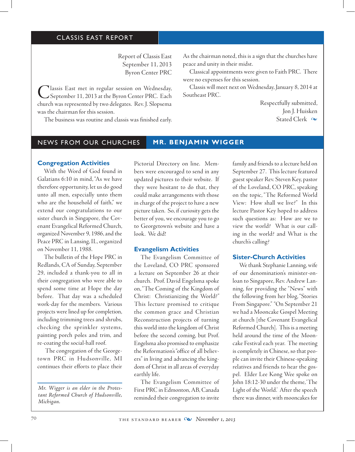# CLASSIS EAST REPORT

Report of Classis East September 11, 2013 Byron Center PRC

Classis East met in regular session on Wednesday,<br>
September 11, 2013 at the Byron Center PRC. Each church was represented by two delegates. Rev. J. Slopsema was the chairman for this session.

The business was routine and classis was finished early.

As the chairman noted, this is a sign that the churches have peace and unity in their midst.

Classical appointments were given to Faith PRC. There were no expenses for this session.

Classis will meet next on Wednesday, January 8, 2014 at Southeast PRC.

> Respectfully submitted, Jon J. Huisken Stated Clerk  $\infty$

# NEWS FROM OUR CHURCHES **MR. BENJAMIN WIGGER**

#### **Congregation Activities**

With the Word of God found in Galatians 6:10 in mind, "As we have therefore opportunity, let us do good unto all men, especially unto them who are the household of faith," we extend our congratulations to our sister church in Singapore, the Covenant Evangelical Reformed Church, organized November 9, 1986, and the Peace PRC in Lansing, IL, organized on November 11, 1988.

The bulletin of the Hope PRC in Redlands, CA of Sunday, September 29, included a thank-you to all in their congregation who were able to spend some time at Hope the day before. That day was a scheduled work-day for the members. Various projects were lined up for completion, including trimming trees and shrubs, checking the sprinkler systems, painting porch poles and trim, and re-coating the social-hall roof.

 The congregation of the Georgetown PRC in Hudsonville, MI continues their efforts to place their

*Mr. Wigger is an elder in the Protestant Reformed Church of Hudsonville, Michigan.*

Pictorial Directory on line. Members were encouraged to send in any updated pictures to their website. If they were hesitant to do that, they could make arrangements with those in charge of the project to have a new picture taken. So, if curiosity gets the better of you, we encourage you to go to Georgetown's website and have a look. We did!

### **Evangelism Activities**

The Evangelism Committee of the Loveland, CO PRC sponsored a lecture on September 26 at their church. Prof. David Engelsma spoke on, "The Coming of the Kingdom of Christ: Christianizing the World?" This lecture promised to critique the common grace and Christian Reconstruction projects of turning this world into the kingdom of Christ before the second coming, but Prof. Engelsma also promised to emphasize the Reformation's "office of all believers" in living and advancing the kingdom of Christ in all areas of everyday earthly life.

The Evangelism Committee of First PRC in Edmonton, AB, Canada reminded their congregation to invite

family and friends to a lecture held on September 27. This lecture featured guest speaker Rev. Steven Key, pastor of the Loveland, CO PRC, speaking on the topic, "The Reformed World View: How shall we live?" In this lecture Pastor Key hoped to address such questions as: How are we to view the world? What is our calling in the world? and What is the church's calling?

#### **Sister-Church Activities**

We thank Stephanie Lanning, wife of our denomination's minister-onloan to Singapore, Rev. Andrew Lanning, for providing the "News" with the following from her blog, "Stories From Singapore." "On September 21 we had a Mooncake Gospel Meeting at church [the Covenant Evangelical Reformed Church]. This is a meeting held around the time of the Mooncake Festival each year. The meeting is completely in Chinese, so that people can invite their Chinese-speaking relatives and friends to hear the gospel. Elder Lee Kong Wee spoke on John 18:12-30 under the theme, 'The Light of the World.' After the speech there was dinner, with mooncakes for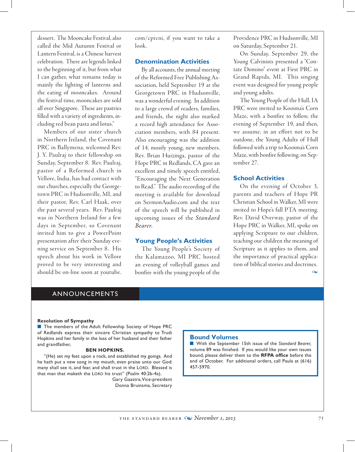dessert. The Mooncake Festival, also called the Mid Autumn Festival or Lantern Festival, is a Chinese harvest celebration. There are legends linked to the beginning of it, but from what I can gather, what remains today is mainly the lighting of lanterns and the eating of mooncakes. Around the festival time, mooncakes are sold all over Singapore. These are pastries filled with a variety of ingredients, including red bean pasta and lotus."

Members of our sister church in Northern Ireland, the Covenant PRC in Ballymena, welcomed Rev. J. Y. Paulraj to their fellowship on Sunday, September 8. Rev. Paulraj, pastor of a Reformed church in Vellore, India, has had contact with our churches, especially the Georgetown PRC in Hudsonville, MI, and their pastor, Rev. Carl Haak, over the past several years. Rev. Paulraj was in Northern Ireland for a few days in September, so Covenant invited him to give a PowerPoint presentation after their Sunday evening service on September 8. His speech about his work in Vellore proved to be very interesting and should be on-line soon at youtube. com/cprcni, if you want to take a look.

#### **Denomination Activities**

By all accounts, the annual meeting of the Reformed Free Publishing Association, held September 19 at the Georgetown PRC in Hudsonville, was a wonderful evening. In addition to a large crowd of readers, families, and friends, the night also marked a record high attendance for Association members, with 84 present. Also encouraging was the addition of 14, mostly young, new members. Rev. Brian Huizinga, pastor of the Hope PRC in Redlands, CA gave an excellent and timely speech entitled, "Encouraging the Next Generation to Read." The audio recording of the meeting is available for download on SermonAudio.com and the text of the speech will be published in upcoming issues of the *Standard Bearer.*

#### **Young People's Activities**

The Young People's Society of the Kalamazoo, MI PRC hosted an evening of volleyball games and bonfire with the young people of the

Providence PRC in Hudsonville, MI on Saturday, September 21.

 On Sunday, September 29, the Young Calvinists presented a "Contate Domino" event at First PRC in Grand Rapids, MI. This singing event was designed for young people and young adults.

The Young People of the Hull, IA PRC were invited to Kooima's Corn Maze, with a bonfire to follow, the evening of September 19, and then, we assume, in an effort not to be outdone, the Young Adults of Hull followed with a trip to Kooima's Corn Maze, with bonfire following, on September 27.

### **School Activities**

 On the evening of October 3, parents and teachers of Hope PR Christian School in Walker, MI were invited to Hope's fall PTA meeting. Rev. David Overway, pastor of the Hope PRC in Walker, MI, spoke on applying Scripture to our children, teaching our children the meaning of Scripture as it applies to them, and the importance of practical application of biblical stories and doctrines. m

### ANNOUNCEMENTS

#### **Resolution of Sympathy**

■ The members of the Adult Fellowship Society of Hope PRC of Redlands express their sincere Christian sympathy to Trudi Hopkins and her family in the loss of her husband and their father and grandfather,

#### **BEN HOPKINS.**

"(He) set my feet upon a rock, and established my goings. And he hath put a new song in my mouth, even praise unto our God: many shall see it, and fear, and shall trust in the LORD. Blessed is that man that maketh the LORD his trust" (Psalm 40:2b-4a).

> Gary Gaastra, Vice-president Donna Bruinsma, Secretary

#### **Bound Volumes**

n With the September 15th issue of the *Standard Bearer,* volume 89 was finished. If you would like your own issues bound, please deliver them to the **RFPA office** before the end of October. For additional orders, call Paula at (616) 457-5970.